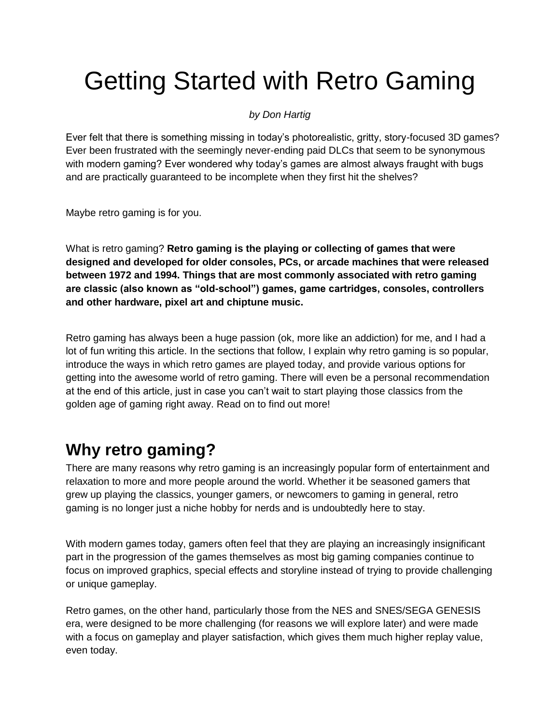# Getting Started with Retro Gaming

#### *by Don Hartig*

Ever felt that there is something missing in today's photorealistic, gritty, story-focused 3D games? Ever been frustrated with the seemingly never-ending paid DLCs that seem to be synonymous with modern gaming? Ever wondered why today's games are almost always fraught with bugs and are practically guaranteed to be incomplete when they first hit the shelves?

Maybe retro gaming is for you.

What is retro gaming? **Retro gaming is the playing or collecting of games that were designed and developed for older consoles, PCs, or arcade machines that were released between 1972 and 1994. Things that are most commonly associated with retro gaming are classic (also known as "old-school") games, game cartridges, consoles, controllers and other hardware, pixel art and chiptune music.**

Retro gaming has always been a huge passion (ok, more like an addiction) for me, and I had a lot of fun writing this article. In the sections that follow, I explain why retro gaming is so popular, introduce the ways in which retro games are played today, and provide various options for getting into the awesome world of retro gaming. There will even be a personal recommendation at the end of this article, just in case you can't wait to start playing those classics from the golden age of gaming right away. Read on to find out more!

## **Why retro gaming?**

There are many reasons why retro gaming is an increasingly popular form of entertainment and relaxation to more and more people around the world. Whether it be seasoned gamers that grew up playing the classics, younger gamers, or newcomers to gaming in general, retro gaming is no longer just a niche hobby for nerds and is undoubtedly here to stay.

With modern games today, gamers often feel that they are playing an increasingly insignificant part in the progression of the games themselves as most big gaming companies continue to focus on improved graphics, special effects and storyline instead of trying to provide challenging or unique gameplay.

Retro games, on the other hand, particularly those from the NES and SNES/SEGA GENESIS era, were designed to be more challenging (for reasons we will explore later) and were made with a focus on gameplay and player satisfaction, which gives them much higher replay value, even today.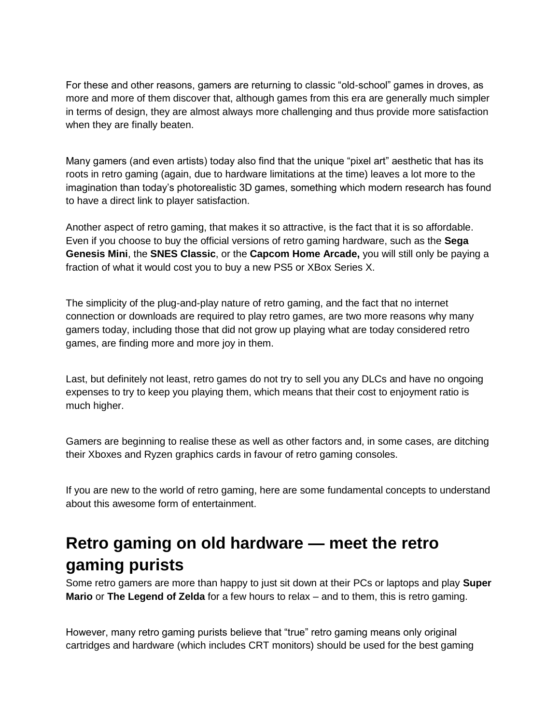For these and other reasons, gamers are returning to classic "old-school" games in droves, as more and more of them discover that, although games from this era are generally much simpler in terms of design, they are almost always more challenging and thus provide more satisfaction when they are finally beaten.

Many gamers (and even artists) today also find that the unique "pixel art" aesthetic that has its roots in retro gaming (again, due to hardware limitations at the time) leaves a lot more to the imagination than today's photorealistic 3D games, something which modern research has found to have a direct link to player satisfaction.

Another aspect of retro gaming, that makes it so attractive, is the fact that it is so affordable. Even if you choose to buy the official versions of retro gaming hardware, such as the **Sega Genesis Mini**, the **SNES Classic**, or the **Capcom Home Arcade,** you will still only be paying a fraction of what it would cost you to buy a new PS5 or XBox Series X.

The simplicity of the plug-and-play nature of retro gaming, and the fact that no internet connection or downloads are required to play retro games, are two more reasons why many gamers today, including those that did not grow up playing what are today considered retro games, are finding more and more joy in them.

Last, but definitely not least, retro games do not try to sell you any DLCs and have no ongoing expenses to try to keep you playing them, which means that their cost to enjoyment ratio is much higher.

Gamers are beginning to realise these as well as other factors and, in some cases, are ditching their Xboxes and Ryzen graphics cards in favour of retro gaming consoles.

If you are new to the world of retro gaming, here are some fundamental concepts to understand about this awesome form of entertainment.

## **Retro gaming on old hardware — meet the retro gaming purists**

Some retro gamers are more than happy to just sit down at their PCs or laptops and play **Super Mario** or **The Legend of Zelda** for a few hours to relax – and to them, this is retro gaming.

However, many retro gaming purists believe that "true" retro gaming means only original cartridges and hardware (which includes CRT monitors) should be used for the best gaming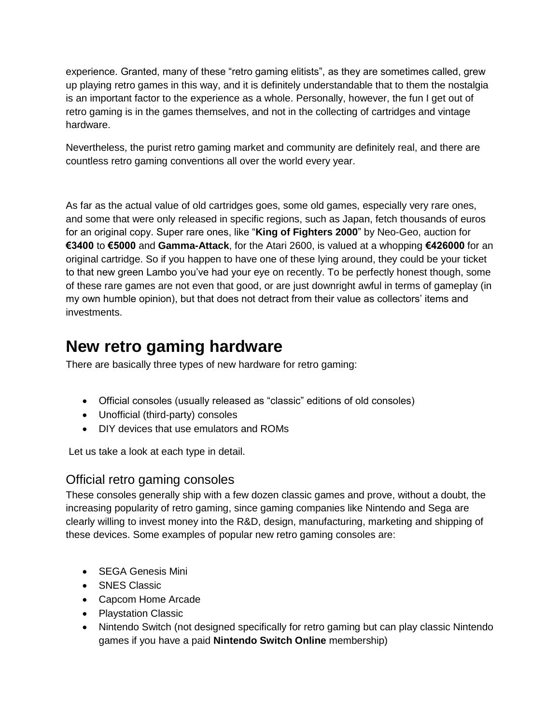experience. Granted, many of these "retro gaming elitists", as they are sometimes called, grew up playing retro games in this way, and it is definitely understandable that to them the nostalgia is an important factor to the experience as a whole. Personally, however, the fun I get out of retro gaming is in the games themselves, and not in the collecting of cartridges and vintage hardware.

Nevertheless, the purist retro gaming market and community are definitely real, and there are countless retro gaming conventions all over the world every year.

As far as the actual value of old cartridges goes, some old games, especially very rare ones, and some that were only released in specific regions, such as Japan, fetch thousands of euros for an original copy. Super rare ones, like "**King of Fighters 2000**" by Neo-Geo, auction for **€3400** to **€5000** and **Gamma-Attack**, for the Atari 2600, is valued at a whopping **€426000** for an original cartridge. So if you happen to have one of these lying around, they could be your ticket to that new green Lambo you've had your eye on recently. To be perfectly honest though, some of these rare games are not even that good, or are just downright awful in terms of gameplay (in my own humble opinion), but that does not detract from their value as collectors' items and investments.

## **New retro gaming hardware**

There are basically three types of new hardware for retro gaming:

- Official consoles (usually released as "classic" editions of old consoles)
- Unofficial (third-party) consoles
- DIY devices that use emulators and ROMs

Let us take a look at each type in detail.

### Official retro gaming consoles

These consoles generally ship with a few dozen classic games and prove, without a doubt, the increasing popularity of retro gaming, since gaming companies like Nintendo and Sega are clearly willing to invest money into the R&D, design, manufacturing, marketing and shipping of these devices. Some examples of popular new retro gaming consoles are:

- **SEGA Genesis Mini**
- SNES Classic
- Capcom Home Arcade
- Playstation Classic
- Nintendo Switch (not designed specifically for retro gaming but can play classic Nintendo games if you have a paid **Nintendo Switch Online** membership)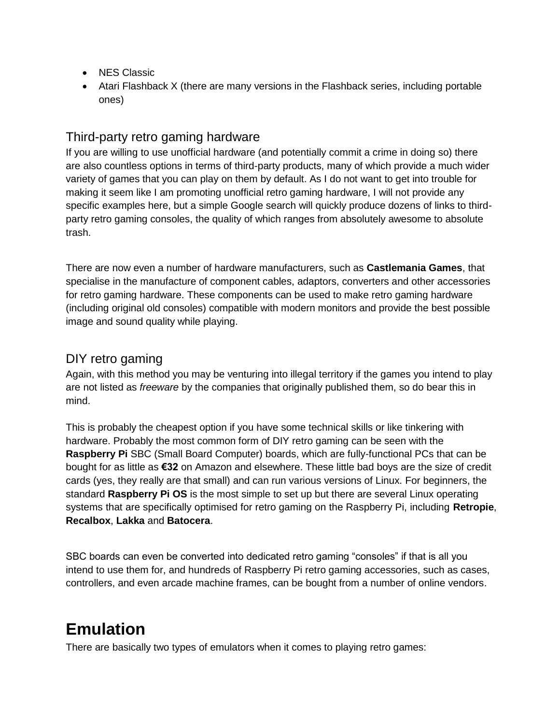- NES Classic
- Atari Flashback X (there are many versions in the Flashback series, including portable ones)

#### Third-party retro gaming hardware

If you are willing to use unofficial hardware (and potentially commit a crime in doing so) there are also countless options in terms of third-party products, many of which provide a much wider variety of games that you can play on them by default. As I do not want to get into trouble for making it seem like I am promoting unofficial retro gaming hardware, I will not provide any specific examples here, but a simple Google search will quickly produce dozens of links to thirdparty retro gaming consoles, the quality of which ranges from absolutely awesome to absolute trash.

There are now even a number of hardware manufacturers, such as **Castlemania Games**, that specialise in the manufacture of component cables, adaptors, converters and other accessories for retro gaming hardware. These components can be used to make retro gaming hardware (including original old consoles) compatible with modern monitors and provide the best possible image and sound quality while playing.

#### DIY retro gaming

Again, with this method you may be venturing into illegal territory if the games you intend to play are not listed as *freeware* by the companies that originally published them, so do bear this in mind.

This is probably the cheapest option if you have some technical skills or like tinkering with hardware. Probably the most common form of DIY retro gaming can be seen with the **Raspberry Pi** SBC (Small Board Computer) boards, which are fully-functional PCs that can be bought for as little as **€32** on Amazon and elsewhere. These little bad boys are the size of credit cards (yes, they really are that small) and can run various versions of Linux. For beginners, the standard **Raspberry Pi OS** is the most simple to set up but there are several Linux operating systems that are specifically optimised for retro gaming on the Raspberry Pi, including **Retropie**, **Recalbox**, **Lakka** and **Batocera**.

SBC boards can even be converted into dedicated retro gaming "consoles" if that is all you intend to use them for, and hundreds of Raspberry Pi retro gaming accessories, such as cases, controllers, and even arcade machine frames, can be bought from a number of online vendors.

## **Emulation**

There are basically two types of emulators when it comes to playing retro games: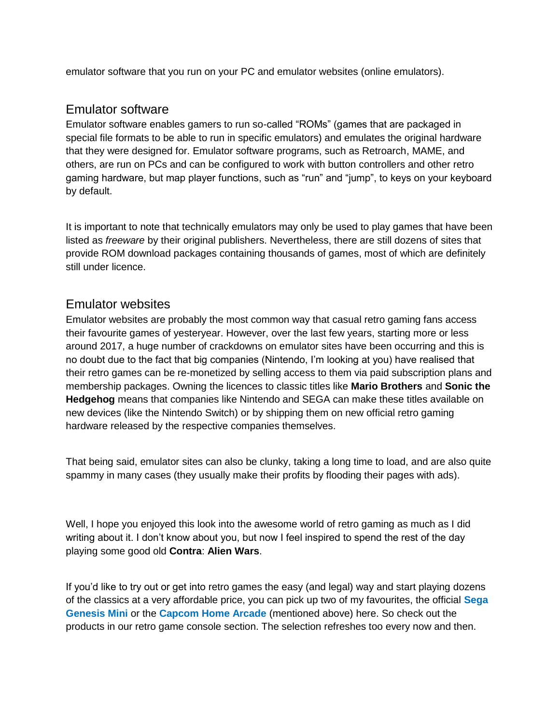emulator software that you run on your PC and emulator websites (online emulators).

#### Emulator software

Emulator software enables gamers to run so-called "ROMs" (games that are packaged in special file formats to be able to run in specific emulators) and emulates the original hardware that they were designed for. Emulator software programs, such as Retroarch, MAME, and others, are run on PCs and can be configured to work with button controllers and other retro gaming hardware, but map player functions, such as "run" and "jump", to keys on your keyboard by default.

It is important to note that technically emulators may only be used to play games that have been listed as *freeware* by their original publishers. Nevertheless, there are still dozens of sites that provide ROM download packages containing thousands of games, most of which are definitely still under licence.

#### Emulator websites

Emulator websites are probably the most common way that casual retro gaming fans access their favourite games of yesteryear. However, over the last few years, starting more or less around 2017, a huge number of crackdowns on emulator sites have been occurring and this is no doubt due to the fact that big companies (Nintendo, I'm looking at you) have realised that their retro games can be re-monetized by selling access to them via paid subscription plans and membership packages. Owning the licences to classic titles like **Mario Brothers** and **Sonic the Hedgehog** means that companies like Nintendo and SEGA can make these titles available on new devices (like the Nintendo Switch) or by shipping them on new official retro gaming hardware released by the respective companies themselves.

That being said, emulator sites can also be clunky, taking a long time to load, and are also quite spammy in many cases (they usually make their profits by flooding their pages with ads).

Well, I hope you enjoyed this look into the awesome world of retro gaming as much as I did writing about it. I don't know about you, but now I feel inspired to spend the rest of the day playing some good old **Contra**: **Alien Wars**.

If you'd like to try out or get into retro games the easy (and legal) way and start playing dozens of the classics at a very affordable price, you can pick up two of my favourites, the official **Sega Genesis Mini** or the **Capcom Home Arcade** (mentioned above) here. So check out the products in our retro game console section. The selection refreshes too every now and then.